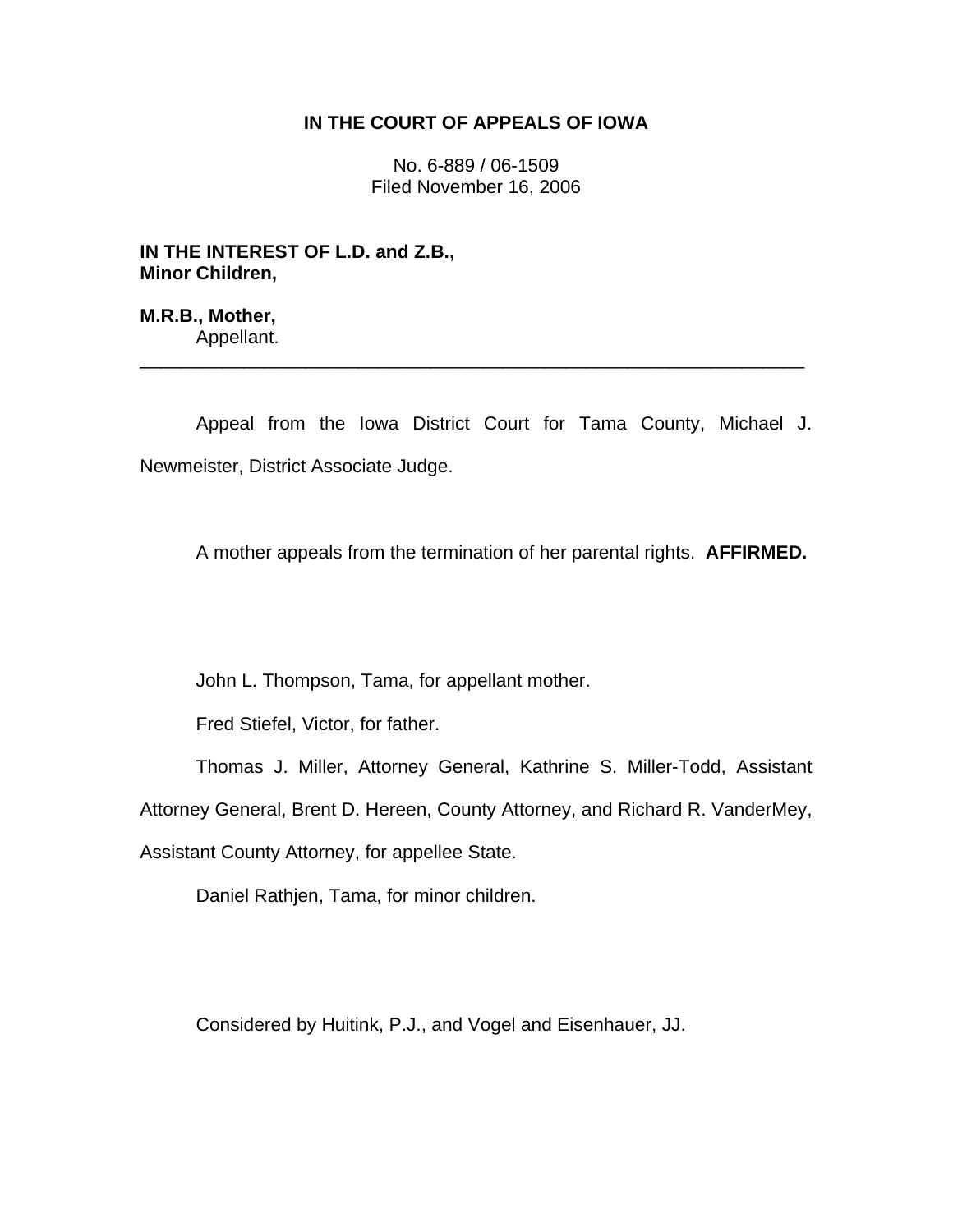## **IN THE COURT OF APPEALS OF IOWA**

No. 6-889 / 06-1509 Filed November 16, 2006

**IN THE INTEREST OF L.D. and Z.B., Minor Children,** 

**M.R.B., Mother,**  Appellant.

 Appeal from the Iowa District Court for Tama County, Michael J. Newmeister, District Associate Judge.

\_\_\_\_\_\_\_\_\_\_\_\_\_\_\_\_\_\_\_\_\_\_\_\_\_\_\_\_\_\_\_\_\_\_\_\_\_\_\_\_\_\_\_\_\_\_\_\_\_\_\_\_\_\_\_\_\_\_\_\_\_\_\_\_

A mother appeals from the termination of her parental rights. **AFFIRMED.**

John L. Thompson, Tama, for appellant mother.

Fred Stiefel, Victor, for father.

Thomas J. Miller, Attorney General, Kathrine S. Miller-Todd, Assistant

Attorney General, Brent D. Hereen, County Attorney, and Richard R. VanderMey,

Assistant County Attorney, for appellee State.

Daniel Rathjen, Tama, for minor children.

Considered by Huitink, P.J., and Vogel and Eisenhauer, JJ.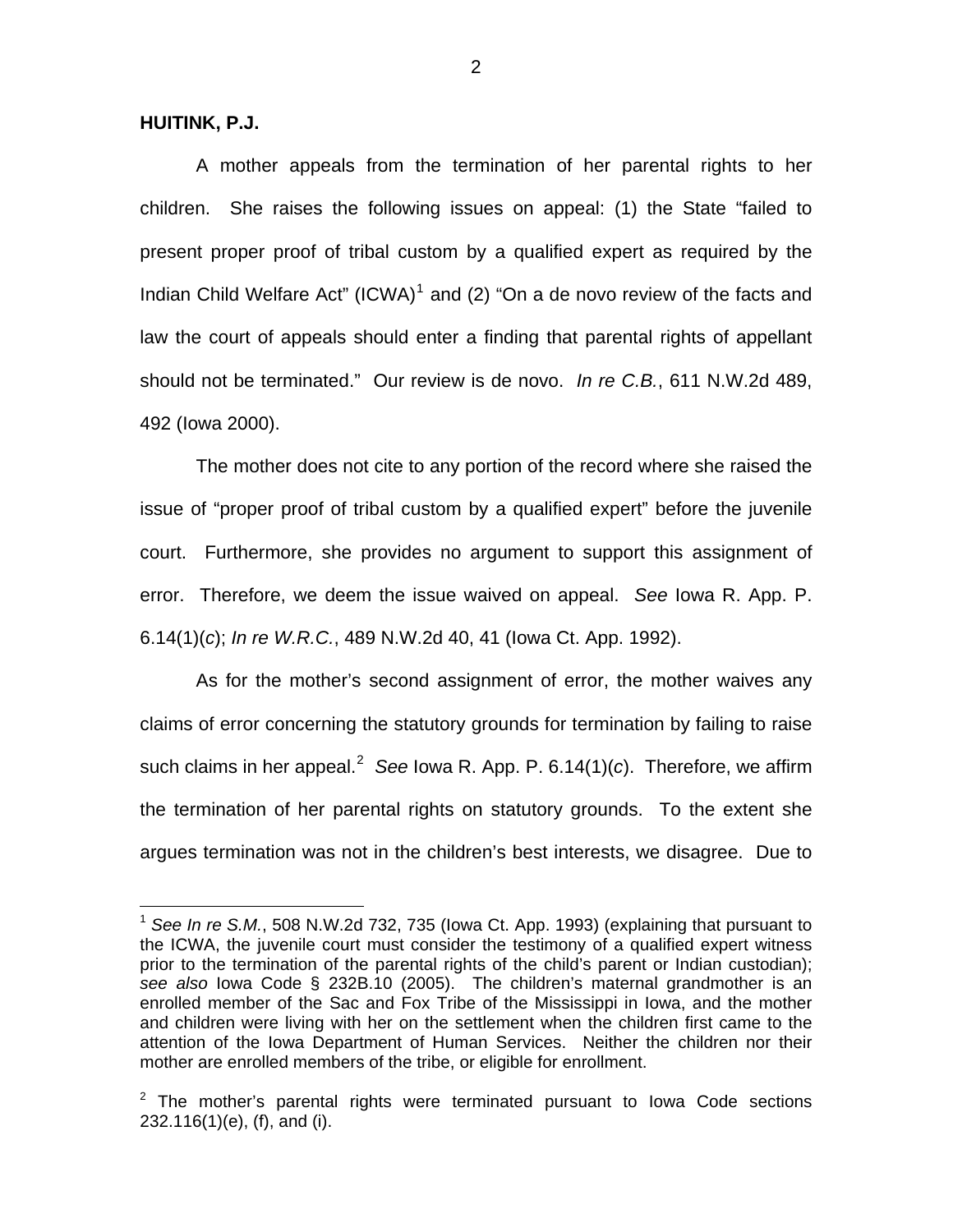**HUITINK, P.J.**

 $\overline{a}$ 

 A mother appeals from the termination of her parental rights to her children. She raises the following issues on appeal: (1) the State "failed to present proper proof of tribal custom by a qualified expert as required by the Indian Child Welfare Act" (ICWA)<sup>[1](#page-1-0)</sup> and (2) "On a de novo review of the facts and law the court of appeals should enter a finding that parental rights of appellant should not be terminated." Our review is de novo. *In re C.B.*, 611 N.W.2d 489, 492 (Iowa 2000).

 The mother does not cite to any portion of the record where she raised the issue of "proper proof of tribal custom by a qualified expert" before the juvenile court. Furthermore, she provides no argument to support this assignment of error. Therefore, we deem the issue waived on appeal. *See* Iowa R. App. P. 6.14(1)(*c*); *In re W.R.C.*, 489 N.W.2d 40, 41 (Iowa Ct. App. 1992).

 As for the mother's second assignment of error, the mother waives any claims of error concerning the statutory grounds for termination by failing to raise such claims in her appeal.<sup>[2](#page-1-1)</sup> See Iowa R. App. P. 6.14(1)(*c*). Therefore, we affirm the termination of her parental rights on statutory grounds. To the extent she argues termination was not in the children's best interests, we disagree. Due to

<span id="page-1-0"></span><sup>1</sup> *See In re S.M.*, 508 N.W.2d 732, 735 (Iowa Ct. App. 1993) (explaining that pursuant to the ICWA, the juvenile court must consider the testimony of a qualified expert witness prior to the termination of the parental rights of the child's parent or Indian custodian); *see also* Iowa Code § 232B.10 (2005). The children's maternal grandmother is an enrolled member of the Sac and Fox Tribe of the Mississippi in Iowa, and the mother and children were living with her on the settlement when the children first came to the attention of the Iowa Department of Human Services. Neither the children nor their mother are enrolled members of the tribe, or eligible for enrollment.

<span id="page-1-1"></span> $2$  The mother's parental rights were terminated pursuant to lowa Code sections 232.116(1)(e), (f), and (i).